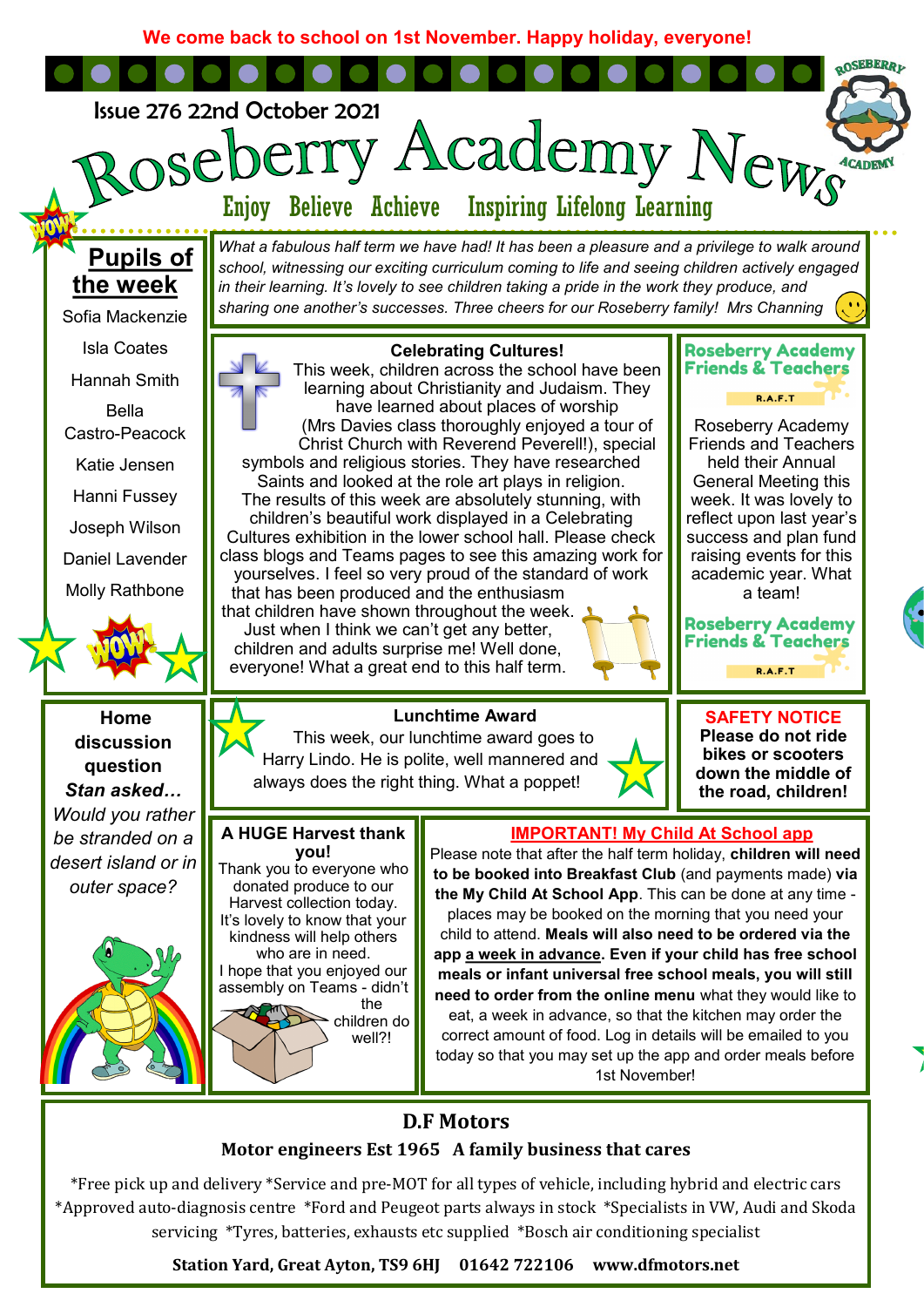**We come back to school on 1st November. Happy holiday, everyone!**



## **Motor engineers Est 1965 A family business that cares**

\*Free pick up and delivery \*Service and pre-MOT for all types of vehicle, including hybrid and electric cars \*Approved auto-diagnosis centre \*Ford and Peugeot parts always in stock \*Specialists in VW, Audi and Skoda servicing \*Tyres, batteries, exhausts etc supplied \*Bosch air conditioning specialist

**Station Yard, Great Ayton, TS9 6HJ 01642 722106 www.dfmotors.net**